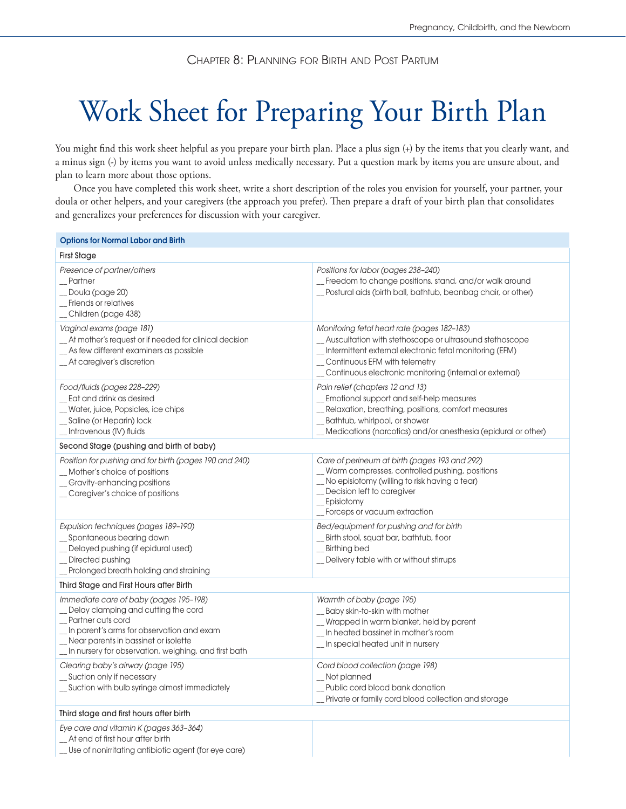Chapter 8: Planning for Birth and Post Partum

# Work Sheet for Preparing Your Birth Plan

You might find this work sheet helpful as you prepare your birth plan. Place a plus sign (+) by the items that you clearly want, and a minus sign (-) by items you want to avoid unless medically necessary. Put a question mark by items you are unsure about, and plan to learn more about those options.

Once you have completed this work sheet, write a short description of the roles you envision for yourself, your partner, your doula or other helpers, and your caregivers (the approach you prefer). Then prepare a draft of your birth plan that consolidates and generalizes your preferences for discussion with your caregiver.

| <b>Options for Normal Labor and Birth</b>                                                                                                                                                                                                           |                                                                                                                                                                                                                                                                    |
|-----------------------------------------------------------------------------------------------------------------------------------------------------------------------------------------------------------------------------------------------------|--------------------------------------------------------------------------------------------------------------------------------------------------------------------------------------------------------------------------------------------------------------------|
| <b>First Stage</b>                                                                                                                                                                                                                                  |                                                                                                                                                                                                                                                                    |
| Presence of partner/others<br><sub>-</sub> Partner<br>Doula (page 20)<br>Friends or relatives<br>Children (page 438)                                                                                                                                | Positions for labor (pages 238-240)<br>_ Freedom to change positions, stand, and/or walk around<br>_ Postural aids (birth ball, bathtub, beanbag chair, or other)                                                                                                  |
| Vaginal exams (page 181)<br>_ At mother's request or if needed for clinical decision<br>_ As few different examiners as possible<br>_ At caregiver's discretion                                                                                     | Monitoring fetal heart rate (pages 182-183)<br>_ Auscultation with stethoscope or ultrasound stethoscope<br>_Intermittent external electronic fetal monitoring (EFM)<br>Continuous EFM with telemetry<br>_ Continuous electronic monitoring (internal or external) |
| Food/fluids (pages 228-229)<br>Eat and drink as desired<br>Water, juice, Popsicles, ice chips<br>_ Saline (or Heparin) lock<br>_Intravenous (IV) fluids                                                                                             | Pain relief (chapters 12 and 13)<br>_ Emotional support and self-help measures<br>_ Relaxation, breathing, positions, comfort measures<br>_ Bathtub, whirlpool, or shower<br>_Medications (narcotics) and/or anesthesia (epidural or other)                        |
| Second Stage (pushing and birth of baby)                                                                                                                                                                                                            |                                                                                                                                                                                                                                                                    |
| Position for pushing and for birth (pages 190 and 240)<br>_Mother's choice of positions<br>_ Gravity-enhancing positions<br>_ Caregiver's choice of positions                                                                                       | Care of perineum at birth (pages 193 and 292)<br>Warm compresses, controlled pushing, positions<br>_ No episiotomy (willing to risk having a tear)<br>Decision left to caregiver<br>_Episiotomy<br>_ Forceps or vacuum extraction                                  |
| Expulsion techniques (pages 189-190)<br>_ Spontaneous bearing down<br>Delayed pushing (if epidural used)<br>Directed pushing<br>_ Prolonged breath holding and straining                                                                            | Bed/equipment for pushing and for birth<br>_ Birth stool, squat bar, bathtub, floor<br>_ Birthing bed<br>_ Delivery table with or without stirrups                                                                                                                 |
| Third Stage and First Hours after Birth                                                                                                                                                                                                             |                                                                                                                                                                                                                                                                    |
| Immediate care of baby (pages 195-198)<br>Delay clamping and cutting the cord<br>_ Partner cuts cord<br>In parent's arms for observation and exam<br>_ Near parents in bassinet or isolette<br>In nursery for observation, weighing, and first bath | Warmth of baby (page 195)<br>_ Baby skin-to-skin with mother<br>_ Wrapped in warm blanket, held by parent<br>_In heated bassinet in mother's room<br>_ In special heated unit in nursery                                                                           |
| Clearing baby's airway (page 195)<br>Suction only if necessary<br>Suction with bulb syringe almost immediately                                                                                                                                      | Cord blood collection (page 198)<br>_Not planned<br>Public cord blood bank donation<br>_ Private or family cord blood collection and storage                                                                                                                       |
| Third stage and first hours after birth                                                                                                                                                                                                             |                                                                                                                                                                                                                                                                    |
| Eye care and vitamin K (pages 363-364)<br>At end of first hour after birth<br>Use of nonirritating antibiotic agent (for eye care)                                                                                                                  |                                                                                                                                                                                                                                                                    |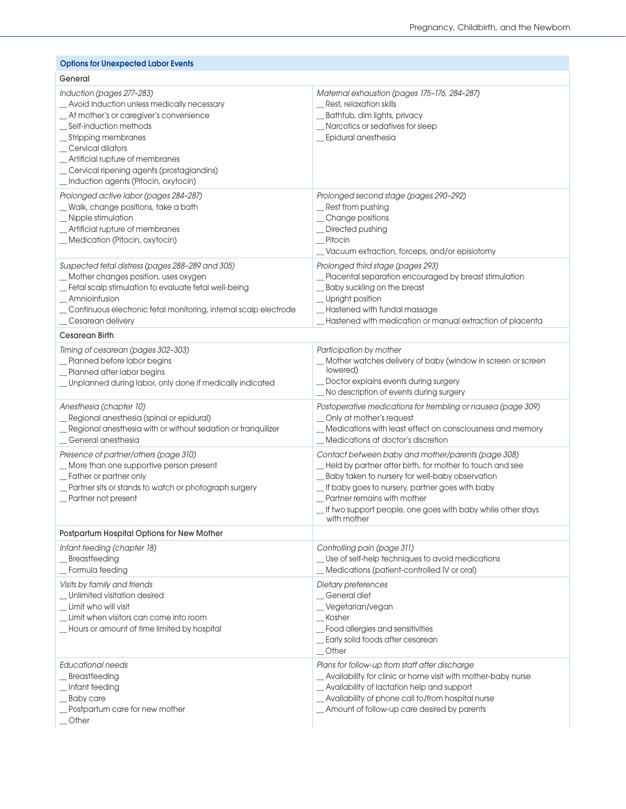| <b>Options for Unexpected Labor Events</b>                                                                                                                                                                                                                                                                       |                                                                                                                                                                                                                                                                                                                                          |
|------------------------------------------------------------------------------------------------------------------------------------------------------------------------------------------------------------------------------------------------------------------------------------------------------------------|------------------------------------------------------------------------------------------------------------------------------------------------------------------------------------------------------------------------------------------------------------------------------------------------------------------------------------------|
| General                                                                                                                                                                                                                                                                                                          |                                                                                                                                                                                                                                                                                                                                          |
| Induction (pages 277-283)<br>Avoid induction unless medically necessary<br>At mother's or caregiver's convenience<br>Self-induction methods<br>_Stripping membranes<br>Cervical dilators<br>Artificial rupture of membranes<br>Cervical ripening agents (prostaglandins)<br>Induction agents (Pitocin, oxytocin) | Maternal exhaustion (pages 175-176, 284-287)<br>_ Rest, relaxation skills<br>_ Bathtub, dim lights, privacy<br>_ Narcotics or sedatives for sleep<br>_ Epidural anesthesia                                                                                                                                                               |
| Prolonged active labor (pages 284-287)<br>Walk, change positions, take a bath<br>Nipple stimulation<br>_ Artificial rupture of membranes<br>_Medication (Pitocin, oxytocin)                                                                                                                                      | Prolonged second stage (pages 290-292)<br>_ Rest from pushing<br>_Change positions<br>_Directed pushing<br>_Pitocin<br>_ Vacuum extraction, forceps, and/or episiotomy                                                                                                                                                                   |
| Suspected fetal distress (pages 288-289 and 305)<br>Mother changes position, uses oxygen<br>Fetal scalp stimulation to evaluate fetal well-being<br>Amnioinfusion<br>Continuous electronic fetal monitoring, internal scalp electrode<br>Cesarean delivery                                                       | Prolonged third stage (pages 293)<br>_ Placental separation encouraged by breast stimulation<br>_ Baby suckling on the breast<br>_Upright position<br>_Hastened with fundal massage<br>_ Hastened with medication or manual extraction of placenta                                                                                       |
| <b>Cesarean Birth</b>                                                                                                                                                                                                                                                                                            |                                                                                                                                                                                                                                                                                                                                          |
| Timing of cesarean (pages 302-303)<br>Planned before labor begins<br>Planned after labor begins<br>_Unplanned during labor, only done if medically indicated                                                                                                                                                     | Participation by mother<br>_ Mother watches delivery of baby (window in screen or screen<br>lowered)<br>_ Doctor explains events during surgery<br>_ No description of events during surgery                                                                                                                                             |
| Anesthesia (chapter 10)<br>Regional anesthesia (spinal or epidural)<br>Regional anesthesia with or without sedation or tranquilizer<br>General anesthesia                                                                                                                                                        | Postoperative medications for trembling or nausea (page 309)<br>_ Only at mother's request<br>_ Medications with least effect on consciousness and memory<br>_Medications at doctor's discretion                                                                                                                                         |
| Presence of partner/others (page 310)<br>More than one supportive person present<br>Father or partner only<br>Partner sits or stands to watch or photograph surgery<br>_Partner not present                                                                                                                      | Contact between baby and mother/parents (page 308)<br>_ Held by partner after birth, for mother to touch and see<br>_ Baby taken to nursery for well-baby observation<br>_If baby goes to nursery, partner goes with baby<br>_ Partner remains with mother<br>If two support people, one goes with baby while other stays<br>with mother |
| Postpartum Hospital Options for New Mother                                                                                                                                                                                                                                                                       |                                                                                                                                                                                                                                                                                                                                          |
| Infant feeding (chapter 18)<br>_Breastfeeding<br>Formula feeding                                                                                                                                                                                                                                                 | Controlling pain (page 311)<br>_Use of self-help techniques to avoid medications<br>_Medications (patient-controlled IV or oral)                                                                                                                                                                                                         |
| Visits by family and friends<br>Unlimited visitation desired<br>Limit who will visit<br>Limit when visitors can come into room<br>_Hours or amount of time limited by hospital                                                                                                                                   | <b>Dietary preferences</b><br>_General diet<br>_Vegetarian/vegan<br>_kosher<br>_ Food allergies and sensitivities<br>_ Early solid foods after cesarean<br>$\sim$ Other                                                                                                                                                                  |
| Educational needs<br>Breastfeeding<br>_Infant feeding<br>Baby care<br>Postpartum care for new mother<br>_Other                                                                                                                                                                                                   | Plans for follow-up from staff after discharge<br>_ Availability for clinic or home visit with mother-baby nurse<br>_ Availability of lactation help and support<br>_ Availability of phone call to/from hospital nurse<br>_ Amount of follow-up care desired by parents                                                                 |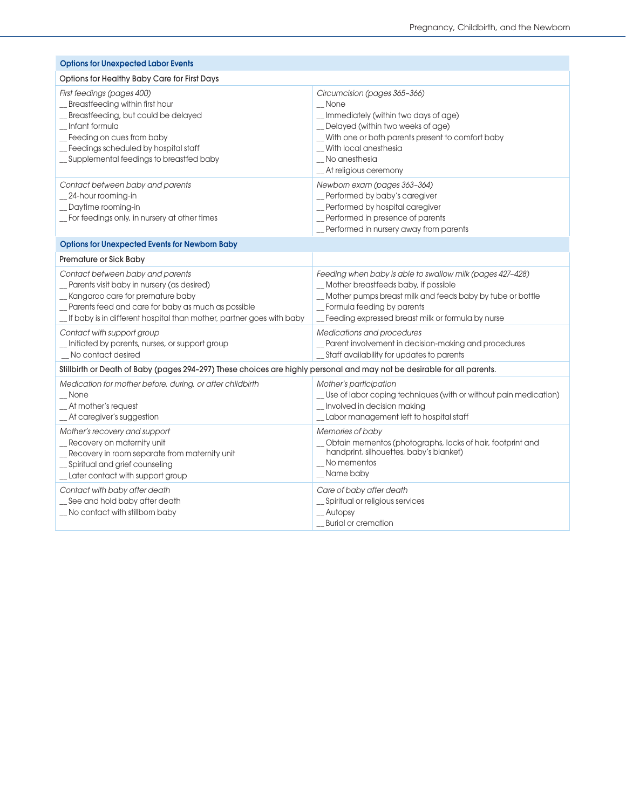| <b>Options for Unexpected Labor Events</b>                                                                                                                                                                                                            |                                                                                                                                                                                                                                                           |  |  |  |  |
|-------------------------------------------------------------------------------------------------------------------------------------------------------------------------------------------------------------------------------------------------------|-----------------------------------------------------------------------------------------------------------------------------------------------------------------------------------------------------------------------------------------------------------|--|--|--|--|
| Options for Healthy Baby Care for First Days                                                                                                                                                                                                          |                                                                                                                                                                                                                                                           |  |  |  |  |
| First feedings (pages 400)<br>_ Breastfeeding within first hour<br>_ Breastfeeding, but could be delayed<br>Infant formula<br>_ Feeding on cues from baby<br>_ Feedings scheduled by hospital staff<br>_ Supplemental feedings to breastfed baby      | Circumcision (pages 365-366)<br>$\_\$ None<br>_ Immediately (within two days of age)<br>_ Delayed (within two weeks of age)<br>_ With one or both parents present to comfort baby<br>_ With local anesthesia<br>_No anesthesia<br>_ At religious ceremony |  |  |  |  |
| Contact between baby and parents<br>_24-hour rooming-in<br>_Daytime rooming-in<br>For feedings only, in nursery at other times                                                                                                                        | Newborn exam (pages 363-364)<br>_ Performed by baby's caregiver<br>_ Performed by hospital caregiver<br>_Performed in presence of parents<br>_ Performed in nursery away from parents                                                                     |  |  |  |  |
| <b>Options for Unexpected Events for Newborn Baby</b>                                                                                                                                                                                                 |                                                                                                                                                                                                                                                           |  |  |  |  |
| Premature or Sick Baby                                                                                                                                                                                                                                |                                                                                                                                                                                                                                                           |  |  |  |  |
| Contact between baby and parents<br>_Parents visit baby in nursery (as desired)<br>_ Kangaroo care for premature baby<br>_Parents feed and care for baby as much as possible<br>_If baby is in different hospital than mother, partner goes with baby | Feeding when baby is able to swallow milk (pages 427-428)<br>_ Mother breastfeeds baby, if possible<br>_Mother pumps breast milk and feeds baby by tube or bottle<br>_ Formula feeding by parents<br>_ Feeding expressed breast milk or formula by nurse  |  |  |  |  |
| Contact with support group<br>_Initiated by parents, nurses, or support group<br>No contact desired                                                                                                                                                   | Medications and procedures<br>_Parent involvement in decision-making and procedures<br>_ Staff availability for updates to parents                                                                                                                        |  |  |  |  |
| Stillbirth or Death of Baby (pages 294-297) These choices are highly personal and may not be desirable for all parents.                                                                                                                               |                                                                                                                                                                                                                                                           |  |  |  |  |
| Medication for mother before, during, or after childbirth<br>None<br>_ At mother's request<br>_ At caregiver's suggestion                                                                                                                             | Mother's participation<br>_Use of labor coping techniques (with or without pain medication)<br>_ Involved in decision making<br>_ Labor management left to hospital staff                                                                                 |  |  |  |  |
| Mother's recovery and support<br>Recovery on maternity unit<br>_Recovery in room separate from maternity unit<br>_ Spiritual and grief counseling<br>_Later contact with support group                                                                | Memories of baby<br>_ Obtain mementos (photographs, locks of hair, footprint and<br>handprint, silhouettes, baby's blanket)<br>No mementos<br>_ Name baby                                                                                                 |  |  |  |  |
| Contact with baby after death<br>_ See and hold baby after death<br>_ No contact with stillborn baby                                                                                                                                                  | Care of baby after death<br>_ Spiritual or religious services<br>_Autopsy<br><b>Burial or cremation</b>                                                                                                                                                   |  |  |  |  |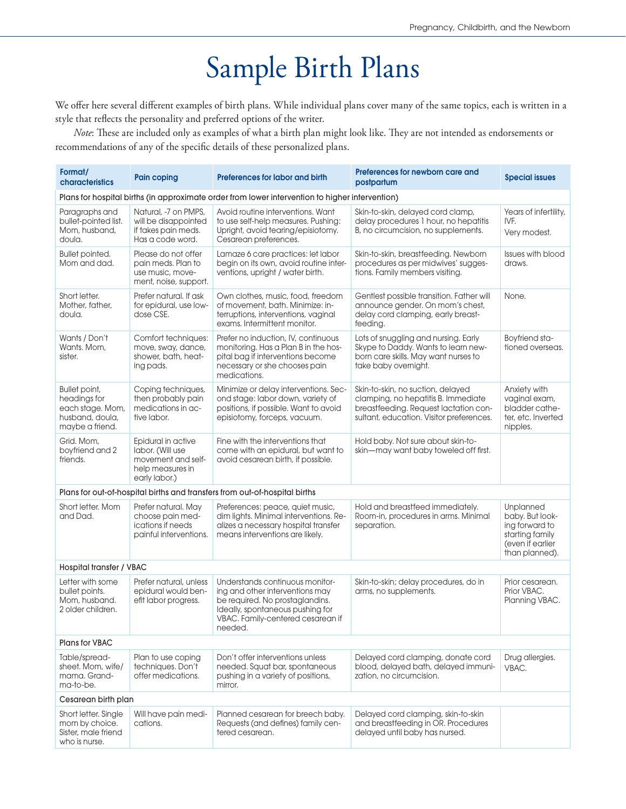# Sample Birth Plans

We offer here several different examples of birth plans. While individual plans cover many of the same topics, each is written in a style that reflects the personality and preferred options of the writer.

*Note*: These are included only as examples of what a birth plan might look like. They are not intended as endorsements or recommendations of any of the specific details of these personalized plans.

| Format/<br>characteristics                                                              | Pain coping                                                                                       | Preferences for labor and birth                                                                                                                                                           | Preferences for newborn care and<br>postpartum                                                                                                                | <b>Special issues</b>                                                                                   |  |
|-----------------------------------------------------------------------------------------|---------------------------------------------------------------------------------------------------|-------------------------------------------------------------------------------------------------------------------------------------------------------------------------------------------|---------------------------------------------------------------------------------------------------------------------------------------------------------------|---------------------------------------------------------------------------------------------------------|--|
|                                                                                         | Plans for hospital births (in approximate order from lower intervention to higher intervention)   |                                                                                                                                                                                           |                                                                                                                                                               |                                                                                                         |  |
| Paragraphs and<br>bullet-pointed list.<br>Mom, husband,<br>doula.                       | Natural, -7 on PMPS,<br>will be disappointed<br>if takes pain meds.<br>Has a code word.           | Avoid routine interventions. Want<br>to use self-help measures. Pushing:<br>Upright, avoid tearing/episiotomy.<br>Cesarean preferences.                                                   | Skin-to-skin, delayed cord clamp,<br>delay procedures 1 hour, no hepatitis<br>B, no circumcision, no supplements.                                             | Years of infertility,<br>IVF.<br>Very modest.                                                           |  |
| Bullet pointed.<br>Mom and dad.                                                         | Please do not offer<br>pain meds. Plan to<br>use music, move-<br>ment, noise, support.            | Lamaze 6 care practices: let labor<br>begin on its own, avoid routine inter-<br>ventions, upright / water birth.                                                                          | Skin-to-skin, breastfeeding. Newborn<br>procedures as per midwives' sugges-<br>tions. Family members visiting.                                                | Issues with blood<br>draws.                                                                             |  |
| Short letter.<br>Mother, father,<br>doula.                                              | Prefer natural. If ask<br>for epidural, use low-<br>dose CSE.                                     | Own clothes, music, food, freedom<br>of movement, bath. Minimize: in-<br>terruptions, interventions, vaginal<br>exams. Intermittent monitor.                                              | Gentlest possible transition. Father will<br>announce gender. On mom's chest,<br>delay cord clamping, early breast-<br>feeding.                               | None.                                                                                                   |  |
| Wants / Don't<br>Wants. Mom,<br>sister.                                                 | Comfort techniques:<br>move, sway, dance,<br>shower, bath, heat-<br>ing pads.                     | Prefer no induction, IV, continuous<br>monitoring. Has a Plan B in the hos-<br>pital bag if interventions become<br>necessary or she chooses pain<br>medications.                         | Lots of snuggling and nursing. Early<br>Skype to Daddy. Wants to learn new-<br>born care skills. May want nurses to<br>take baby overnight.                   | Boyfriend sta-<br>tioned overseas.                                                                      |  |
| Bullet point,<br>headings for<br>each stage. Mom,<br>husband, doula,<br>maybe a friend. | Coping techniques,<br>then probably pain<br>medications in ac-<br>tive labor.                     | Minimize or delay interventions. Sec-<br>ond stage: labor down, variety of<br>positions, if possible. Want to avoid<br>episiotomy, forceps, vacuum.                                       | Skin-to-skin, no suction, delayed<br>clamping, no hepatitis B. Immediate<br>breastfeeding. Request lactation con-<br>sultant, education. Visitor preferences. | Anxiety with<br>vaginal exam,<br>bladder cathe-<br>ter, etc. Inverted<br>nipples.                       |  |
| Grid. Mom,<br>boyfriend and 2<br>friends.                                               | Epidural in active<br>labor. (Will use<br>movement and self-<br>help measures in<br>early labor.) | Fine with the interventions that<br>come with an epidural, but want to<br>avoid cesarean birth, if possible.                                                                              | Hold baby. Not sure about skin-to-<br>skin-may want baby toweled off first.                                                                                   |                                                                                                         |  |
|                                                                                         |                                                                                                   | Plans for out-of-hospital births and transfers from out-of-hospital births                                                                                                                |                                                                                                                                                               |                                                                                                         |  |
| Short letter, Mom<br>and Dad,                                                           | Prefer natural. May<br>choose pain med-<br>ications if needs<br>painful interventions.            | Preferences: peace, quiet music,<br>dim lights. Minimal interventions. Re-<br>alizes a necessary hospital transfer<br>means interventions are likely.                                     | Hold and breastfeed immediately.<br>Room-in, procedures in arms. Minimal<br>separation.                                                                       | Unplanned<br>baby. But look-<br>ing forward to<br>starting family<br>(even if earlier<br>than planned). |  |
| Hospital transfer / VBAC                                                                |                                                                                                   |                                                                                                                                                                                           |                                                                                                                                                               |                                                                                                         |  |
| Letter with some<br>bullet points.<br>Mom, husband.<br>2 older children.                | Prefer natural, unless<br>epidural would ben-<br>efit labor progress.                             | Understands continuous monitor-<br>ing and other interventions may<br>be required. No prostaglandins.<br>Ideally, spontaneous pushing for<br>VBAC. Family-centered cesarean if<br>needed. | Skin-to-skin; delay procedures, do in<br>arms, no supplements.                                                                                                | Prior cesarean.<br>Prior VBAC.<br>Planning VBAC.                                                        |  |
| Plans for VBAC                                                                          |                                                                                                   |                                                                                                                                                                                           |                                                                                                                                                               |                                                                                                         |  |
| Table/spread-<br>sheet. Mom, wife/<br>mama, Grand-<br>ma-to-be.                         | Plan to use coping<br>techniques. Don't<br>offer medications.                                     | Don't offer interventions unless<br>needed. Squat bar, spontaneous<br>pushing in a variety of positions,<br>mirror.                                                                       | Delayed cord clamping, donate cord<br>blood, delayed bath, delayed immuni-<br>zation, no circumcision.                                                        | Drug allergies.<br>VBAC.                                                                                |  |
| Cesarean birth plan                                                                     |                                                                                                   |                                                                                                                                                                                           |                                                                                                                                                               |                                                                                                         |  |
| Short letter. Single<br>mom by choice.<br>Sister, male friend<br>who is nurse.          | Will have pain medi-<br>cations.                                                                  | Planned cesarean for breech baby.<br>Requests (and defines) family cen-<br>tered cesarean.                                                                                                | Delayed cord clamping, skin-to-skin<br>and breastfeeding in OR. Procedures<br>delayed until baby has nursed.                                                  |                                                                                                         |  |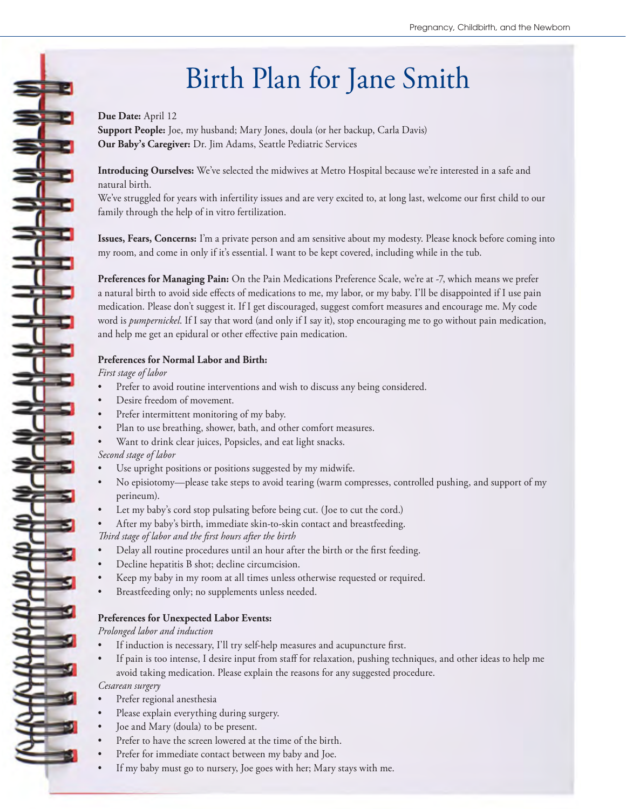# Birth Plan for Jane Smith

**Due Date:** April 12

**Support People:** Joe, my husband; Mary Jones, doula (or her backup, Carla Davis) **Our Baby's Caregiver:** Dr. Jim Adams, Seattle Pediatric Services

**Introducing Ourselves:** We've selected the midwives at Metro Hospital because we're interested in a safe and natural birth.

We've struggled for years with infertility issues and are very excited to, at long last, welcome our first child to our family through the help of in vitro fertilization.

**Issues, Fears, Concerns:** I'm a private person and am sensitive about my modesty. Please knock before coming into my room, and come in only if it's essential. I want to be kept covered, including while in the tub.

**Preferences for Managing Pain:** On the Pain Medications Preference Scale, we're at -7, which means we prefer a natural birth to avoid side effects of medications to me, my labor, or my baby. I'll be disappointed if I use pain medication. Please don't suggest it. If I get discouraged, suggest comfort measures and encourage me. My code word is *pumpernickel*. If I say that word (and only if I say it), stop encouraging me to go without pain medication, and help me get an epidural or other effective pain medication.

#### **Preferences for Normal Labor and Birth:**

*First stage of labor*

- Prefer to avoid routine interventions and wish to discuss any being considered.
- Desire freedom of movement.
- Prefer intermittent monitoring of my baby.
- Plan to use breathing, shower, bath, and other comfort measures.
- Want to drink clear juices, Popsicles, and eat light snacks.

#### *Second stage of labor*

Use upright positions or positions suggested by my midwife.

- No episiotomy—please take steps to avoid tearing (warm compresses, controlled pushing, and support of my perineum).
- Let my baby's cord stop pulsating before being cut. (Joe to cut the cord.)
- After my baby's birth, immediate skin-to-skin contact and breastfeeding.

*Third stage of labor and the first hours after the birth*

- Delay all routine procedures until an hour after the birth or the first feeding.
- Decline hepatitis B shot; decline circumcision.
- Keep my baby in my room at all times unless otherwise requested or required.
- Breastfeeding only; no supplements unless needed.

#### **Preferences for Unexpected Labor Events:**

*Prolonged labor and induction*

- If induction is necessary, I'll try self-help measures and acupuncture first.
- If pain is too intense, I desire input from staff for relaxation, pushing techniques, and other ideas to help me avoid taking medication. Please explain the reasons for any suggested procedure.

*Cesarean surgery*

- Prefer regional anesthesia
- Please explain everything during surgery.
- Joe and Mary (doula) to be present.
- Prefer to have the screen lowered at the time of the birth.
- Prefer for immediate contact between my baby and Joe.
- If my baby must go to nursery, Joe goes with her; Mary stays with me.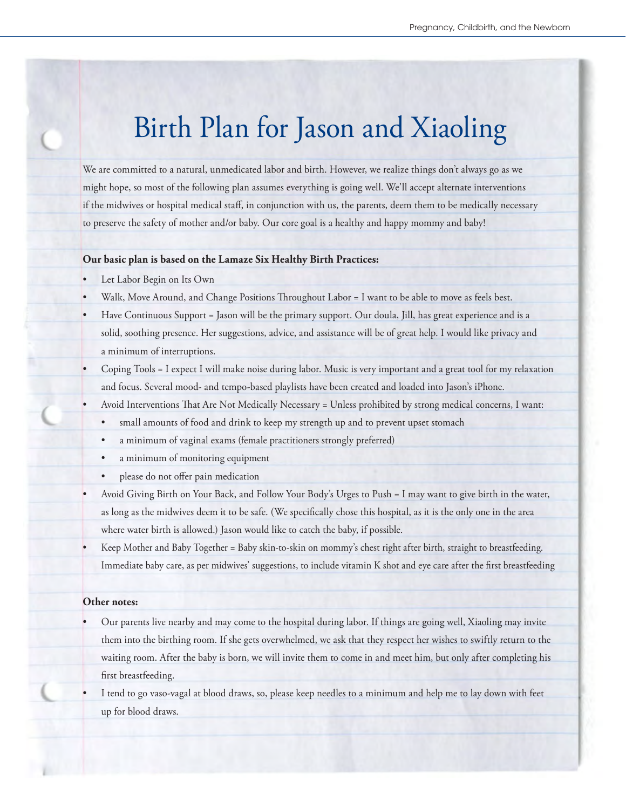## Birth Plan for Jason and Xiaoling

We are committed to a natural, unmedicated labor and birth. However, we realize things don't always go as we might hope, so most of the following plan assumes everything is going well. We'll accept alternate interventions if the midwives or hospital medical staff, in conjunction with us, the parents, deem them to be medically necessary to preserve the safety of mother and/or baby. Our core goal is a healthy and happy mommy and baby!

#### **Our basic plan is based on the Lamaze Six Healthy Birth Practices:**

- Let Labor Begin on Its Own
- Walk, Move Around, and Change Positions Throughout Labor = I want to be able to move as feels best.
- Have Continuous Support = Jason will be the primary support. Our doula, Jill, has great experience and is a solid, soothing presence. Her suggestions, advice, and assistance will be of great help. I would like privacy and a minimum of interruptions.
- Coping Tools = I expect I will make noise during labor. Music is very important and a great tool for my relaxation and focus. Several mood- and tempo-based playlists have been created and loaded into Jason's iPhone.
- Avoid Interventions That Are Not Medically Necessary = Unless prohibited by strong medical concerns, I want:
	- small amounts of food and drink to keep my strength up and to prevent upset stomach
	- a minimum of vaginal exams (female practitioners strongly preferred)
	- a minimum of monitoring equipment
	- please do not offer pain medication
- Avoid Giving Birth on Your Back, and Follow Your Body's Urges to Push = I may want to give birth in the water, as long as the midwives deem it to be safe. (We specifically chose this hospital, as it is the only one in the area where water birth is allowed.) Jason would like to catch the baby, if possible.
- Keep Mother and Baby Together = Baby skin-to-skin on mommy's chest right after birth, straight to breastfeeding. Immediate baby care, as per midwives' suggestions, to include vitamin K shot and eye care after the first breastfeeding

#### **Other notes:**

- Our parents live nearby and may come to the hospital during labor. If things are going well, Xiaoling may invite them into the birthing room. If she gets overwhelmed, we ask that they respect her wishes to swiftly return to the waiting room. After the baby is born, we will invite them to come in and meet him, but only after completing his first breastfeeding.
- I tend to go vaso-vagal at blood draws, so, please keep needles to a minimum and help me to lay down with feet up for blood draws.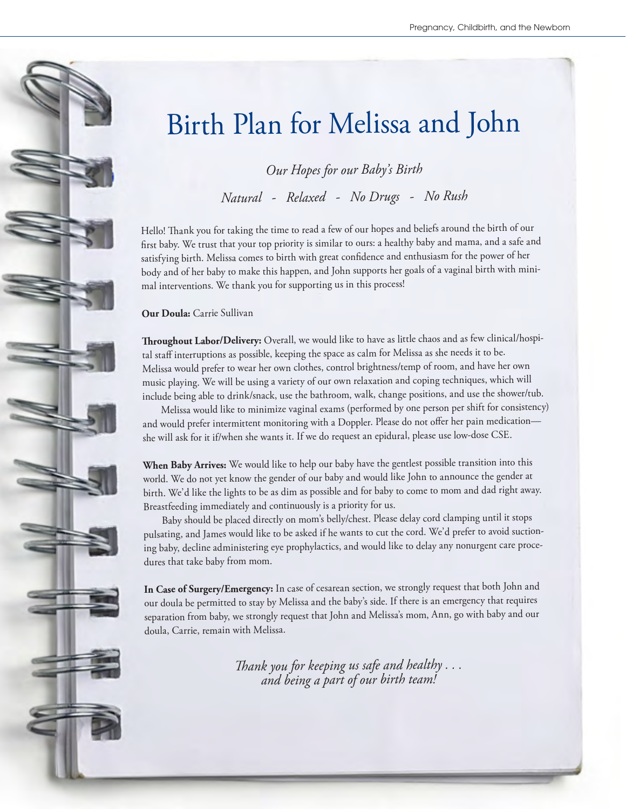### Birth Plan for Melissa and John

*Our Hopes for our Baby's Birth*

*Natural - Relaxed - No Drugs - No Rush*

Hello! Thank you for taking the time to read a few of our hopes and beliefs around the birth of our first baby. We trust that your top priority is similar to ours: a healthy baby and mama, and a safe and satisfying birth. Melissa comes to birth with great confidence and enthusiasm for the power of her body and of her baby to make this happen, and John supports her goals of a vaginal birth with minimal interventions. We thank you for supporting us in this process!

**Our Doula:** Carrie Sullivan

**Throughout Labor/Delivery:** Overall, we would like to have as little chaos and as few clinical/hospital staff interruptions as possible, keeping the space as calm for Melissa as she needs it to be. Melissa would prefer to wear her own clothes, control brightness/temp of room, and have her own music playing. We will be using a variety of our own relaxation and coping techniques, which will include being able to drink/snack, use the bathroom, walk, change positions, and use the shower/tub.

Melissa would like to minimize vaginal exams (performed by one person per shift for consistency) and would prefer intermittent monitoring with a Doppler. Please do not offer her pain medication she will ask for it if/when she wants it. If we do request an epidural, please use low-dose CSE.

**When Baby Arrives:** We would like to help our baby have the gentlest possible transition into this world. We do not yet know the gender of our baby and would like John to announce the gender at birth. We'd like the lights to be as dim as possible and for baby to come to mom and dad right away. Breastfeeding immediately and continuously is a priority for us.

Baby should be placed directly on mom's belly/chest. Please delay cord clamping until it stops pulsating, and James would like to be asked if he wants to cut the cord. We'd prefer to avoid suctioning baby, decline administering eye prophylactics, and would like to delay any nonurgent care procedures that take baby from mom.

**In Case of Surgery/Emergency:** In case of cesarean section, we strongly request that both John and our doula be permitted to stay by Melissa and the baby's side. If there is an emergency that requires separation from baby, we strongly request that John and Melissa's mom, Ann, go with baby and our doula, Carrie, remain with Melissa.

> *Thank you for keeping us safe and healthy . . . and being a part of our birth team!*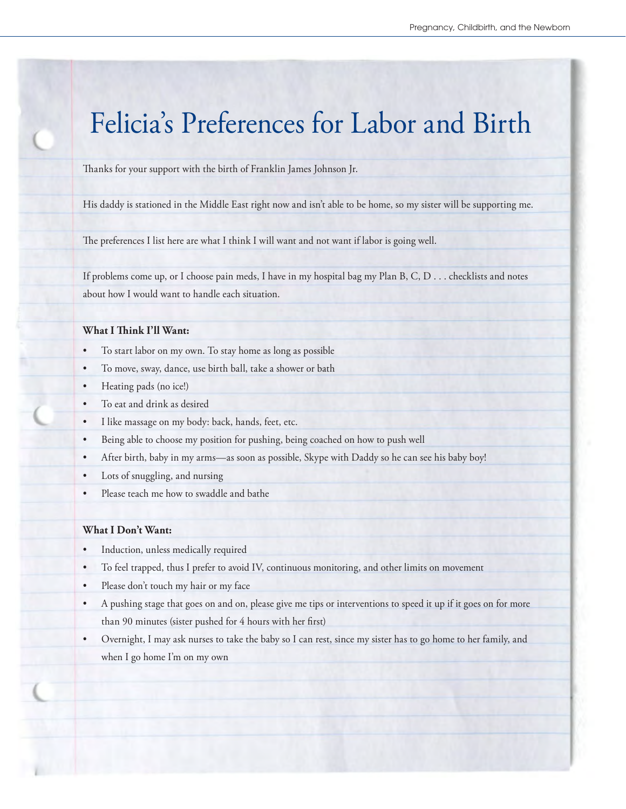# Felicia's Preferences for Labor and Birth

Thanks for your support with the birth of Franklin James Johnson Jr.

His daddy is stationed in the Middle East right now and isn't able to be home, so my sister will be supporting me.

The preferences I list here are what I think I will want and not want if labor is going well.

If problems come up, or I choose pain meds, I have in my hospital bag my Plan B, C, D . . . checklists and notes about how I would want to handle each situation.

#### **What I Think I'll Want:**

- To start labor on my own. To stay home as long as possible
- To move, sway, dance, use birth ball, take a shower or bath
- Heating pads (no ice!)
- To eat and drink as desired
- I like massage on my body: back, hands, feet, etc.
- Being able to choose my position for pushing, being coached on how to push well
- After birth, baby in my arms—as soon as possible, Skype with Daddy so he can see his baby boy!
- Lots of snuggling, and nursing
- Please teach me how to swaddle and bathe

#### **What I Don't Want:**

- Induction, unless medically required
- To feel trapped, thus I prefer to avoid IV, continuous monitoring, and other limits on movement
- Please don't touch my hair or my face
- A pushing stage that goes on and on, please give me tips or interventions to speed it up if it goes on for more than 90 minutes (sister pushed for 4 hours with her first)
- Overnight, I may ask nurses to take the baby so I can rest, since my sister has to go home to her family, and when I go home I'm on my own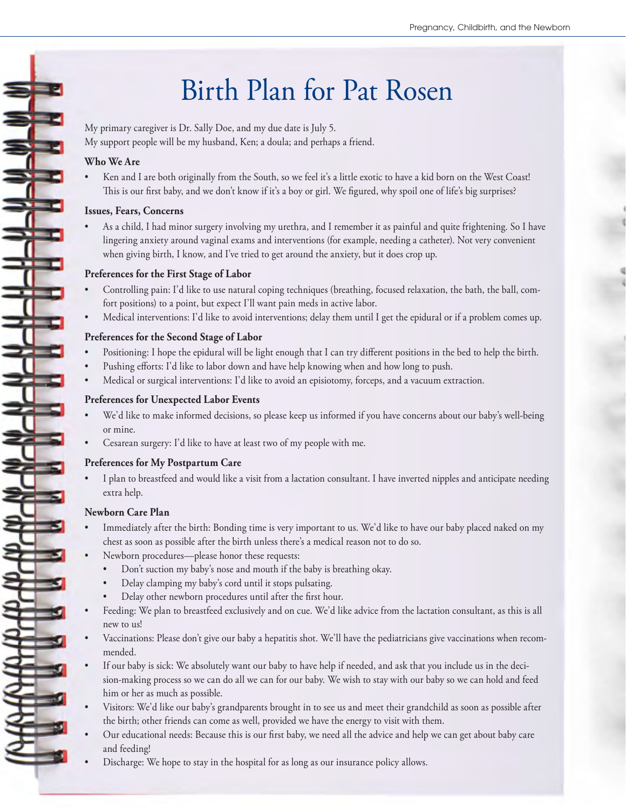# Birth Plan for Pat Rosen

My primary caregiver is Dr. Sally Doe, and my due date is July 5. My support people will be my husband, Ken; a doula; and perhaps a friend.

#### **Who We Are**

• Ken and I are both originally from the South, so we feel it's a little exotic to have a kid born on the West Coast! This is our first baby, and we don't know if it's a boy or girl. We figured, why spoil one of life's big surprises?

#### **Issues, Fears, Concerns**

• As a child, I had minor surgery involving my urethra, and I remember it as painful and quite frightening. So I have lingering anxiety around vaginal exams and interventions (for example, needing a catheter). Not very convenient when giving birth, I know, and I've tried to get around the anxiety, but it does crop up.

#### **Preferences for the First Stage of Labor**

- Controlling pain: I'd like to use natural coping techniques (breathing, focused relaxation, the bath, the ball, comfort positions) to a point, but expect I'll want pain meds in active labor.
- Medical interventions: I'd like to avoid interventions; delay them until I get the epidural or if a problem comes up.

#### **Preferences for the Second Stage of Labor**

- Positioning: I hope the epidural will be light enough that I can try different positions in the bed to help the birth.
- Pushing efforts: I'd like to labor down and have help knowing when and how long to push.
- Medical or surgical interventions: I'd like to avoid an episiotomy, forceps, and a vacuum extraction.

#### **Preferences for Unexpected Labor Events**

- We'd like to make informed decisions, so please keep us informed if you have concerns about our baby's well-being or mine.
- Cesarean surgery: I'd like to have at least two of my people with me.

#### **Preferences for My Postpartum Care**

• I plan to breastfeed and would like a visit from a lactation consultant. I have inverted nipples and anticipate needing extra help.

#### **Newborn Care Plan**

- Immediately after the birth: Bonding time is very important to us. We'd like to have our baby placed naked on my chest as soon as possible after the birth unless there's a medical reason not to do so.
- Newborn procedures—please honor these requests:
	- Don't suction my baby's nose and mouth if the baby is breathing okay.
	- Delay clamping my baby's cord until it stops pulsating.
	- Delay other newborn procedures until after the first hour.
- Feeding: We plan to breastfeed exclusively and on cue. We'd like advice from the lactation consultant, as this is all new to us!
- Vaccinations: Please don't give our baby a hepatitis shot. We'll have the pediatricians give vaccinations when recommended.
- If our baby is sick: We absolutely want our baby to have help if needed, and ask that you include us in the decision-making process so we can do all we can for our baby. We wish to stay with our baby so we can hold and feed him or her as much as possible.
- Visitors: We'd like our baby's grandparents brought in to see us and meet their grandchild as soon as possible after the birth; other friends can come as well, provided we have the energy to visit with them.
- Our educational needs: Because this is our first baby, we need all the advice and help we can get about baby care and feeding!
- Discharge: We hope to stay in the hospital for as long as our insurance policy allows.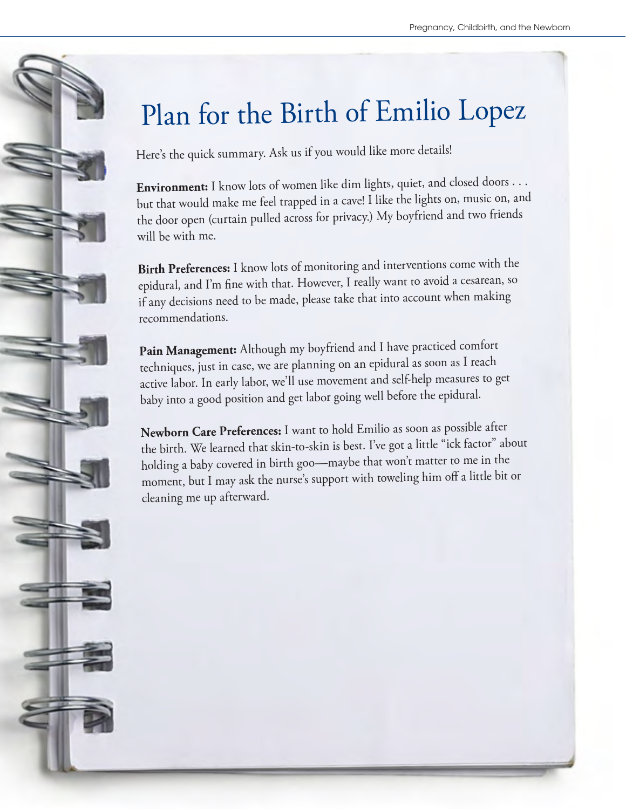

# Plan for the Birth of Emilio Lopez

Here's the quick summary. Ask us if you would like more details!

**Environment:** I know lots of women like dim lights, quiet, and closed doors . . . but that would make me feel trapped in a cave! I like the lights on, music on, an<sup>d</sup> the door open (curtain pulled across for privacy.) My boyfriend and two friends will be with me.

**Birth Preferences:** I know lots of monitoring and interventions come with the epidural, and I'm fine with that. However, I really want to avoid a cesarean, so if any decisions need to be made, please take that into account when making recommendations.

**Pain Management:** Although my boyfriend and I have practiced comfort techniques, just in case, we are planning on an epidural as soon as I reach active labor. In early labor, we'll use movement and self-help measures to get baby into a good position and get labor going well before the epidural.

**Newborn Care Preferences:** I want to hold Emilio as soon as possible after the birth. We learned that skin-to-skin is best. I've got a little "ick factor" about holding a baby covered in birth goo—maybe that won't matter to me in the moment, but I may ask the nurse's support with toweling him off a little bit or cleaning me up afterward.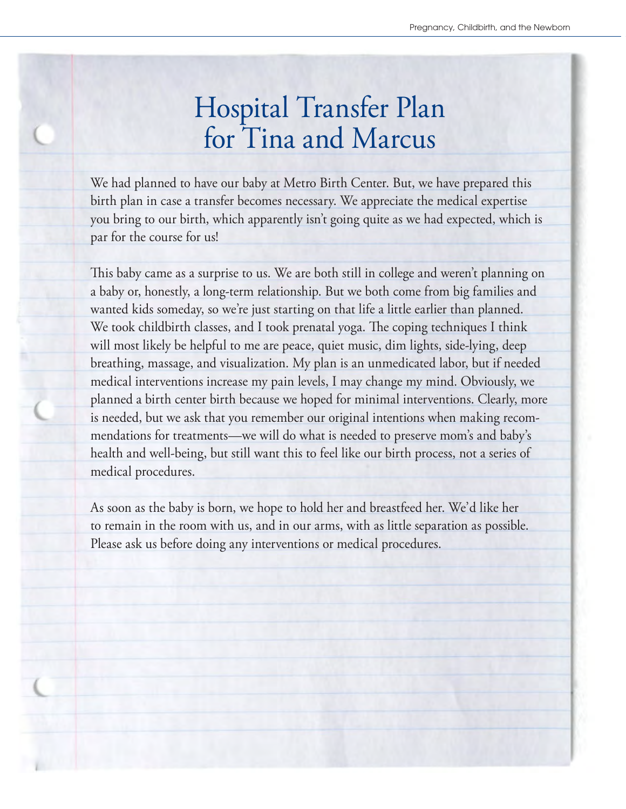### Hospital Transfer Plan for Tina and Marcus

We had planned to have our baby at Metro Birth Center. But, we have prepared this birth plan in case a transfer becomes necessary. We appreciate the medical expertise you bring to our birth, which apparently isn't going quite as we had expected, which is par for the course for us!

This baby came as a surprise to us. We are both still in college and weren't planning on a baby or, honestly, a long-term relationship. But we both come from big families and wanted kids someday, so we're just starting on that life a little earlier than planned. We took childbirth classes, and I took prenatal yoga. The coping techniques I think will most likely be helpful to me are peace, quiet music, dim lights, side-lying, deep breathing, massage, and visualization. My plan is an unmedicated labor, but if needed medical interventions increase my pain levels, I may change my mind. Obviously, we planned a birth center birth because we hoped for minimal interventions. Clearly, more is needed, but we ask that you remember our original intentions when making recommendations for treatments—we will do what is needed to preserve mom's and baby's health and well-being, but still want this to feel like our birth process, not a series of medical procedures.

As soon as the baby is born, we hope to hold her and breastfeed her. We'd like her to remain in the room with us, and in our arms, with as little separation as possible. Please ask us before doing any interventions or medical procedures.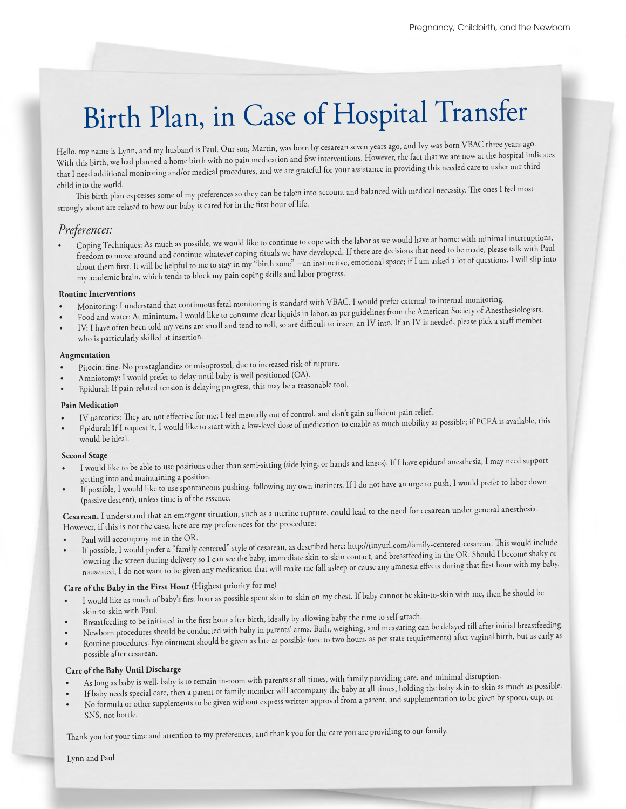# Birth Plan, in Case of Hospital Transfer

Hello, my name is Lynn, and my husband is Paul. Our son, Martin, was born by cesarean seven years ago, and Ivy was born VBAC three years ago. With this birth, we had planned a home birth with no pain medication and few interventions. However, the fact that we are now at the hospital indicates that I need additional monitoring and/or medical procedures, and we are grateful for your assistance in providing this needed care to usher our third child into the world.

This birth plan expresses some of my preferences so they can be taken into account and balanced with medical necessity. The ones I feel most strongly about are related to how our baby is cared for in the first hour of life.

#### *Preferences:*

• Coping Techniques: As much as possible, we would like to continue to cope with the labor as we would have at home: with minimal interruptions, freedom to move around and continue whatever coping rituals we have developed. If there are decisions that need to be made, please talk with Paul about them first. It will be helpful to me to stay in my "birth zone"—an instinctive, emotional space; if I am asked a lot of questions, I will slip into my academic brain, which tends to block my pain coping skills and labor progress.

#### **Routine Interventions**

- •Monitoring: I understand that continuous fetal monitoring is standard with VBAC. I would prefer external to internal monitoring.
- •Food and water: At minimum, I would like to consume clear liquids in labor, as per guidelines from the American Society of Anesthesiologists.
- • IV: I have often been told my veins are small and tend to roll, so are difficult to insert an IV into. If an IV is needed, please pick a staff member who is particularly skilled at insertion.

#### **Augmentation**

- •Pitocin: fine. No prostaglandins or misoprostol, due to increased risk of rupture.
- •Amniotomy: I would prefer to delay until baby is well positioned (OA).
- •Epidural: If pain-related tension is delaying progress, this may be a reasonable tool.

#### **Pain Medication**

- •IV narcotics: They are not effective for me; I feel mentally out of control, and don't gain sufficient pain relief.
- • Epidural: If I request it, I would like to start with a low-level dose of medication to enable as much mobility as possible; if PCEA is available, this would be ideal.

#### **Second Stage**

- •I would like to be able to use positions other than semi-sitting (side lying, or hands and knees). If I have epidural anesthesia, I may need support
- getting into and maintaining a position. If possible, I would like to use spontaneous pushing, following my own instincts. If I do not have an urge to push, I would prefer to labor down •(passive descent), unless time is of the essence.

**Cesarean.** I understand that an emergent situation, such as a uterine rupture, could lead to the need for cesarean under general anesthesia. However, if this is not the case, here are my preferences for the procedure:

- •Paul will accompany me in the OR.
- • If possible, I would prefer a "family centered" style of cesarean, as described here: http://tinyurl.com/family-centered-cesarean. This would include lowering the screen during delivery so I can see the baby, immediate skin-to-skin contact, and breastfeeding in the OR. Should I become shaky or nauseated, I do not want to be given any medication that will make me fall asleep or cause any amnesia effects during that first hour with my baby.

#### **Care of the Baby in the First Hour** (Highest priority for me)

- • I would like as much of baby's first hour as possible spent skin-to-skin on my chest. If baby cannot be skin-to-skin with me, then he should be skin-to-skin with Paul.
- •Breastfeeding to be initiated in the first hour after birth, ideally by allowing baby the time to self-attach.
- Newborn procedures should be conducted with baby in parents' arms. Bath, weighing, and measuring can be delayed till after initial breastfeeding.
- •• Routine procedures: Eye ointment should be given as late as possible (one to two hours, as per state requirements) after vaginal birth, but as early as possible after cesarean.

#### **Care of the Baby Until Discharge**

- •As long as baby is well, baby is to remain in-room with parents at all times, with family providing care, and minimal disruption.
- •If baby needs special care, then a parent or family member will accompany the baby at all times, holding the baby skin-to-skin as much as possible.
- • No formula or other supplements to be given without express written approval from a parent, and supplementation to be given by spoon, cup, or SNS, not bottle.

Thank you for your time and attention to my preferences, and thank you for the care you are providing to our family.

Lynn and Paul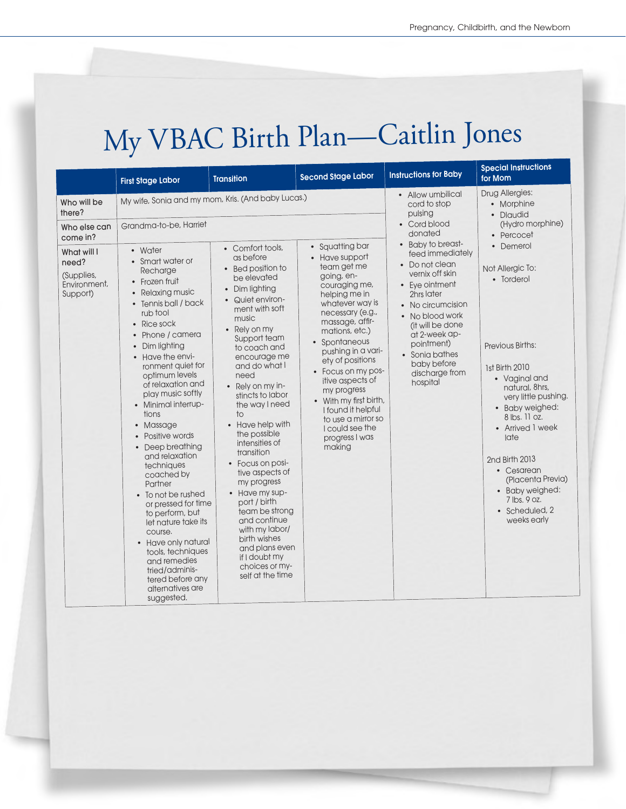# My VBAC Birth Plan—Caitlin Jones

|                                                                                                                     | <b>First Stage Labor</b>                                                                                                                                                                                                                                                                                                                                                                                                                                                                                                                                                                                                                                                                                                      | <b>Transition</b>                                                                                                                                                                                                                                                                                                                                                                                                                                                                                                                                                                                  | <b>Second Stage Labor</b>                                                                                                                                                                                                                                                                                                                                                                                             | <b>Instructions for Baby</b>                                                                                                                                                                                                                                                                                                                    | <b>Special Instructions</b><br>for Mom                                                                                                                                                                                                                                                                                                                                                                                       |
|---------------------------------------------------------------------------------------------------------------------|-------------------------------------------------------------------------------------------------------------------------------------------------------------------------------------------------------------------------------------------------------------------------------------------------------------------------------------------------------------------------------------------------------------------------------------------------------------------------------------------------------------------------------------------------------------------------------------------------------------------------------------------------------------------------------------------------------------------------------|----------------------------------------------------------------------------------------------------------------------------------------------------------------------------------------------------------------------------------------------------------------------------------------------------------------------------------------------------------------------------------------------------------------------------------------------------------------------------------------------------------------------------------------------------------------------------------------------------|-----------------------------------------------------------------------------------------------------------------------------------------------------------------------------------------------------------------------------------------------------------------------------------------------------------------------------------------------------------------------------------------------------------------------|-------------------------------------------------------------------------------------------------------------------------------------------------------------------------------------------------------------------------------------------------------------------------------------------------------------------------------------------------|------------------------------------------------------------------------------------------------------------------------------------------------------------------------------------------------------------------------------------------------------------------------------------------------------------------------------------------------------------------------------------------------------------------------------|
| Who will be<br>there?<br>Who else can<br>come in?<br>What will I<br>need?<br>(Supplies,<br>Environment,<br>Support) | My wife, Sonia and my mom, Kris. (And baby Lucas.)<br>Grandma-to-be, Harriet<br>• Water<br>• Smart water or<br>Recharge<br>• Frozen fruit<br><b>Relaxing music</b><br>• Tennis ball / back<br>rub tool<br>• Rice sock<br>• Phone / camera<br>• Dim lighting<br>• Have the envi-<br>ronment quiet for<br>optimum levels<br>of relaxation and<br>play music softly<br>• Minimal interrup-<br>tions<br>• Massage<br>• Positive words<br>• Deep breathing<br>and relaxation<br>techniques<br>coached by<br>Partner<br>To not be rushed<br>$\bullet$<br>or pressed for time<br>to perform, but<br>let nature take its<br>course.<br>• Have only natural<br>tools, techniques<br>and remedies<br>tried/adminis-<br>tered before any | • Comfort tools,<br>as before<br>• Bed position to<br>be elevated<br>• Dim lighting<br>Quiet environ-<br>ment with soft<br>music<br>• Rely on my<br>Support team<br>to coach and<br>encourage me<br>and do what I<br>need<br>• Rely on my in-<br>stincts to labor<br>the way I need<br>to<br>• Have help with<br>the possible<br>intensities of<br>transition<br>• Focus on posi-<br>tive aspects of<br>my progress<br>• Have my sup-<br>port / birth<br>team be strong<br>and continue<br>with my labor/<br>birth wishes<br>and plans even<br>if I doubt my<br>choices or my-<br>self at the time | • Squatting bar<br>• Have support<br>team get me<br>aoing, en-<br>couraging me,<br>helping me in<br>whatever way is<br>necessary (e.g.,<br>massage, affir-<br>mations, etc.)<br>• Spontaneous<br>pushing in a vari-<br>ety of positions<br>• Focus on my pos-<br>itive aspects of<br>my progress<br>• With my first birth,<br>I found it helpful<br>to use a mirror so<br>I could see the<br>progress I was<br>making | • Allow umbilical<br>cord to stop<br>pulsing<br>• Cord blood<br>donated<br>• Baby to breast-<br>feed immediately<br>• Do not clean<br>vernix off skin<br>• Eve ointment<br>2hrs later<br>• No circumcision<br>• No blood work<br>(it will be done<br>at 2-week ap-<br>pointment)<br>• Sonia bathes<br>baby before<br>discharge from<br>hospital | <b>Drug Allergies:</b><br>• Morphine<br>• Dlaudid<br>(Hydro morphine)<br>• Percocet<br>• Demerol<br>Not Allergic To:<br>• Torderol<br>Previous Births:<br>1st Birth 2010<br>• Vaginal and<br>natural, 8hrs,<br>very little pushing.<br>• Baby weighed:<br>8 lbs. 11 oz.<br>• Arrived 1 week<br>late<br>2nd Birth 2013<br>• Cesarean<br>(Placenta Previa)<br>• Baby weighed:<br>7 lbs. 9 oz.<br>· Scheduled, 2<br>weeks early |
|                                                                                                                     | alternatives are<br>suggested.                                                                                                                                                                                                                                                                                                                                                                                                                                                                                                                                                                                                                                                                                                |                                                                                                                                                                                                                                                                                                                                                                                                                                                                                                                                                                                                    |                                                                                                                                                                                                                                                                                                                                                                                                                       |                                                                                                                                                                                                                                                                                                                                                 |                                                                                                                                                                                                                                                                                                                                                                                                                              |